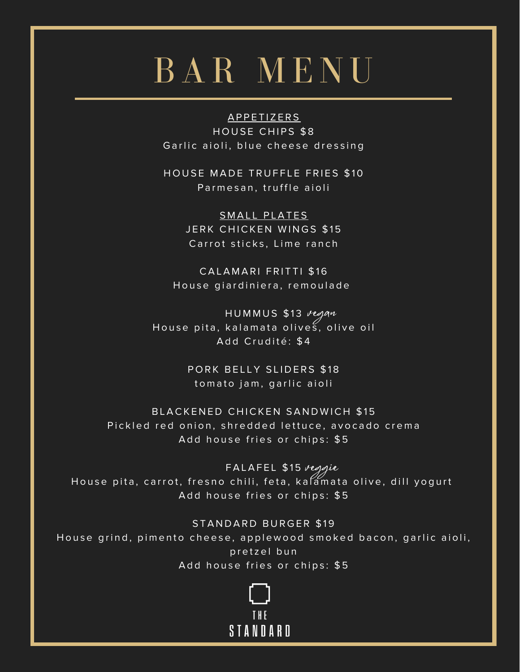# BAR MENU

APPETIZERS HOUSE CHIPS \$8 Garlic aioli, blue cheese dressing

HOUSE MADE TRUFFLE FRIES \$10 Parmesan, truffle aioli

> SMALL PLATES JERK CHICKEN WINGS \$15 Carrot sticks, Lime ranch

CALAMARI FRITTI \$16 House giardiniera, remoulade

HUMMUS \$13 regan House pita, kalamata olives, olive oil Add Crudité: \$4

> PORK BELLY SLIDERS \$18 to mato jam, garlic aioli

BLACKENED CHICKEN SANDWICH \$15 Pickled red onion, shredded lettuce, avocado crema Add house fries or chips: \$5

FALAFEL \$15 *veggie* House pita, carrot, fresno chili, feta, kalamata olive, dill yogurt Add house fries or chips: \$5

STANDARD BURGER \$19

House grind, pimento cheese, applewood smoked bacon, garlic aioli, pretzel bun Add house fries or chips: \$5